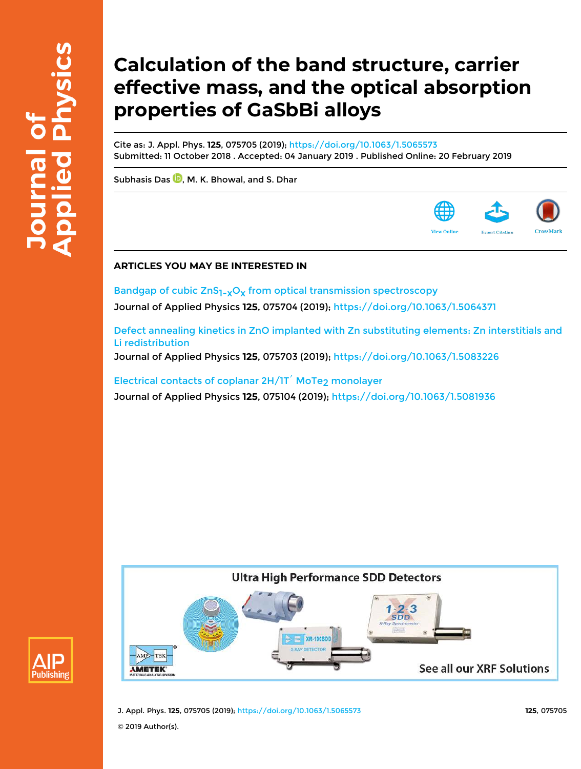# **Calculation of the band structure, carrier effective mass, and the optical absorption properties of GaSbBi alloys**

Cite as: J. Appl. Phys. **125**, 075705 (2019); https://doi.org/10.1063/1.5065573 Submitted: 11 October 2018 . Accepted: 04 January 2019 . Published Online: 20 February 2019

Subhasis Das  $\overline{\mathbb{D}}$ . M. K. Bhowal, and S. Dhar

# **ARTICLES YOU MAY BE INTERESTED IN**

Bandgap of cubic  $ZnS_{1-x}O_X$  from optical transmission spectroscopy Journal of Applied Physics **125**, 075704 (2019); https://doi.org/10.1063/1.5064371

Defect annealing kinetics in ZnO implanted with Zn substituting elements: Zn interstitials and Li redistribution

Journal of Applied Physics **125**, 075703 (2019); https://doi.org/10.1063/1.5083226

Electrical contacts of coplanar  $2H/1T'$  MoTe<sub>2</sub> monolayer Journal of Applied Physics **125**, 075104 (2019); https://doi.org/10.1063/1.5081936





J. Appl. Phys. **125**, 075705 (2019); https://doi.org/10.1063/1.5065573 **125**, 075705

© 2019 Author(s).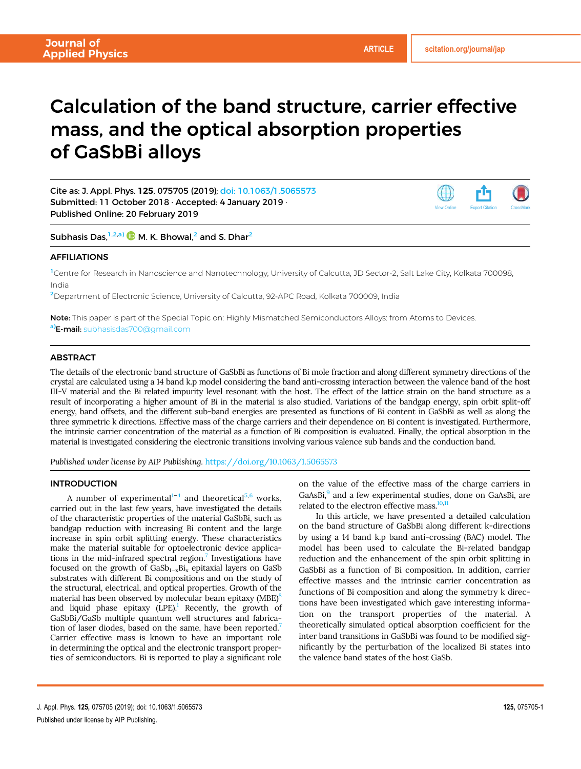# Calculation of the band structure, carrier effective mass, and the optical absorption properties of GaSbBi alloys

Cite as: J. Appl. Phys. 125, 075705 (2019); doi: 10.1063/1.5065573 Submitted: 11 October 2018 · Accepted: 4 January 2019 · Published Online: 20 February 2019



Subhasis Das, $^{1,2,a)}$   $\blacksquare$  M. K. Bhowal, $^2$  and S. Dhar $^2$ 

# AFFILIATIONS

<sup>1</sup>Centre for Research in Nanoscience and Nanotechnology, University of Calcutta, JD Sector-2, Salt Lake City, Kolkata 700098, India

<sup>2</sup>Department of Electronic Science, University of Calcutta, 92-APC Road, Kolkata 700009, India

Note: This paper is part of the Special Topic on: Highly Mismatched Semiconductors Alloys: from Atoms to Devices. a)**E-mail:** subhasisdas700@gmail.com

# **ABSTRACT**

The details of the electronic band structure of GaSbBi as functions of Bi mole fraction and along different symmetry directions of the crystal are calculated using a 14 band k.p model considering the band anti-crossing interaction between the valence band of the host III-V material and the Bi related impurity level resonant with the host. The effect of the lattice strain on the band structure as a result of incorporating a higher amount of Bi in the material is also studied. Variations of the bandgap energy, spin orbit split-off energy, band offsets, and the different sub-band energies are presented as functions of Bi content in GaSbBi as well as along the three symmetric k directions. Effective mass of the charge carriers and their dependence on Bi content is investigated. Furthermore, the intrinsic carrier concentration of the material as a function of Bi composition is evaluated. Finally, the optical absorption in the material is investigated considering the electronic transitions involving various valence sub bands and the conduction band.

Published under license by AIP Publishing. https://doi.org/10.1063/1.5065573

#### INTRODUCTION

A number of experimental $1-4$  and theoretical<sup>5,6</sup> works, carried out in the last few years, have investigated the details of the characteristic properties of the material GaSbBi, such as bandgap reduction with increasing Bi content and the large increase in spin orbit splitting energy. These characteristics make the material suitable for optoelectronic device applications in the mid-infrared spectral region.<sup>7</sup> Investigations have focused on the growth of  $GaSb<sub>1-x</sub>Bi<sub>x</sub>$  epitaxial layers on GaSb substrates with different Bi compositions and on the study of the structural, electrical, and optical properties. Growth of the material has been observed by molecular beam epitaxy (MBE)<sup>8</sup> and liquid phase epitaxy  $(LPE)$ .<sup>1</sup> Recently, the growth of GaSbBi/GaSb multiple quantum well structures and fabrication of laser diodes, based on the same, have been reported.<sup>7</sup> Carrier effective mass is known to have an important role in determining the optical and the electronic transport properties of semiconductors. Bi is reported to play a significant role

on the value of the effective mass of the charge carriers in GaAsBi,<sup>9</sup> and a few experimental studies, done on GaAsBi, are related to the electron effective mass.<sup>10,11</sup>

In this article, we have presented a detailed calculation on the band structure of GaSbBi along different k-directions by using a 14 band k.p band anti-crossing (BAC) model. The model has been used to calculate the Bi-related bandgap reduction and the enhancement of the spin orbit splitting in GaSbBi as a function of Bi composition. In addition, carrier effective masses and the intrinsic carrier concentration as functions of Bi composition and along the symmetry k directions have been investigated which gave interesting information on the transport properties of the material. A theoretically simulated optical absorption coefficient for the inter band transitions in GaSbBi was found to be modified significantly by the perturbation of the localized Bi states into the valence band states of the host GaSb.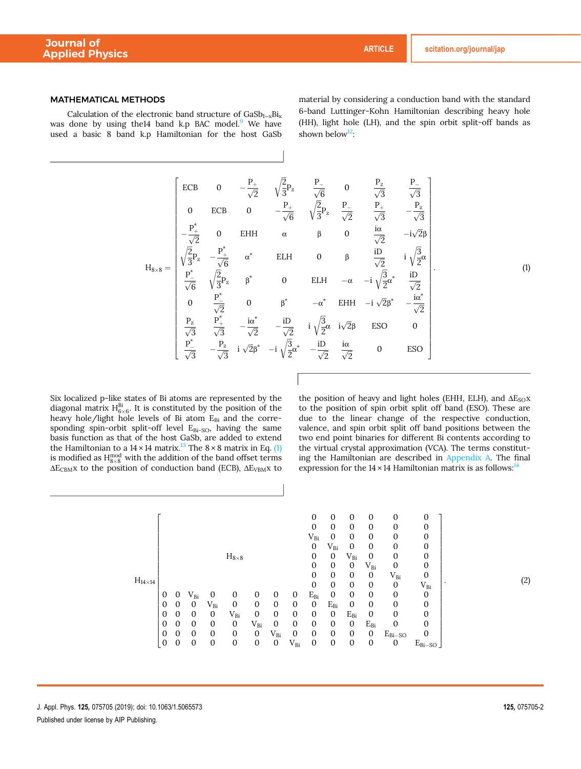### MATHEMATICAL METHODS

Calculation of the electronic band structure of  $GaSb_{1-x}Bi_x$ was done by using the 14 band k.p BAC model. $9$  We have used a basic 8 band k.p Hamiltonian for the host GaSb material by considering a conduction band with the standard 6-band Luttinger-Kohn Hamiltonian describing heavy hole (HH), light hole (LH), and the spin orbit split-off bands as shown below $12$ :

$$
H_{8\times 8} = \begin{bmatrix} \frac{ECB}{0} & 0 & -\frac{P_{+}}{\sqrt{2}} & \sqrt{\frac{2}{3}}P_{z} & \frac{P_{-}}{\sqrt{6}} & 0 & \frac{P_{z}}{\sqrt{3}} & \frac{P_{-}}{\sqrt{3}} \\ 0 & ECB & 0 & -\frac{P_{+}}{\sqrt{6}} & \sqrt{\frac{2}{3}}P_{z} & \frac{P_{-}}{\sqrt{2}} & \frac{P_{+}}{\sqrt{3}} & -\frac{P_{z}}{\sqrt{3}} \\ -\frac{P_{+}^{*}}{\sqrt{2}} & 0 & EHH & \alpha & \beta & 0 & \frac{i\alpha}{\sqrt{2}} & -i\sqrt{2}\beta \\ \sqrt{\frac{2}{3}}P_{z} & -\frac{P_{+}^{*}}{\sqrt{6}} & \alpha^{*} & ELH & 0 & \beta & \frac{iD}{\sqrt{2}} & i\sqrt{\frac{2}{2}}\alpha \\ \frac{P_{-}^{*}}{\sqrt{6}} & \sqrt{\frac{2}{3}}P_{z} & \beta^{*} & 0 & ELH & -\alpha & -i\sqrt{\frac{2}{2}}\alpha^{*} & \frac{iD}{\sqrt{2}} \\ 0 & \frac{P_{-}^{*}}{\sqrt{2}} & 0 & \beta^{*} & -\alpha^{*} & EHH & -i\sqrt{2}\beta^{*} & -\frac{i\alpha^{*}}{\sqrt{2}} \\ \frac{P_{z}}{\sqrt{3}} & \frac{P_{+}^{*}}{\sqrt{3}} & -\frac{i\alpha^{*}}{\sqrt{2}} & -\frac{iD}{\sqrt{2}} & i\sqrt{\frac{2}{2}}\alpha & i\sqrt{2}\beta & ESO & 0 \\ \frac{P_{-}^{*}}{\sqrt{3}} & -\frac{P_{z}}{\sqrt{3}} & i\sqrt{2}\beta^{*} & -i\sqrt{\frac{3}{2}}\alpha^{*} & -\frac{iD}{\sqrt{2}} & \frac{i\alpha}{\sqrt{2}} & 0 & ESO \end{bmatrix}
$$
(1)

Six localized p-like states of Bi atoms are represented by the diagonal matrix  $H_6^{Bi}$ . It is constituted by the position of the heavy hole/light hole levels of Bi atom  $E_{Bi}$  and the corresponding spin-orbit split-off level  $E_{Bi-SO}$ , having the same basis function as that of the host GaSb, are added to extend the Hamiltonian to a  $14 \times 14$  matrix.<sup>13</sup> The  $8 \times 8$  matrix in Eq. (1) is modified as  $H_{8\times 8}^{mod}$  with the addition of the band offset terms  $\Delta E_{\rm CBM}$ x to the position of conduction band (ECB),  $\Delta E_{\rm VBM}$ x to the position of heavy and light holes (EHH, ELH), and  $\Delta E_{SO}x$ to the position of spin orbit split off band (ESO). These are due to the linear change of the respective conduction, valence, and spin orbit split off band positions between the two end point binaries for different Bi contents according to the virtual crystal approximation (VCA). The terms constituting the Hamiltonian are described in Appendix A. The final expression for the  $14 \times 14$  Hamiltonian matrix is as follows:<sup>14</sup>

$$
H_{14\times14} \begin{bmatrix} 0&0&0&0&0&0&0&0 \\ 0&0&0&0&0&0&0&0 \\ 0&V_{Bi}&0&0&0&0&0&0 \\ 0&V_{Bi}&0&0&0&0&0&0 \\ 0&0&V_{Bi}&0&0&0&0&V_{Bi}&0 \\ 0&0&V_{Bi}&0&0&0&0&0&0&V_{Bi} &0 \\ 0&0&V_{Bi}&0&0&0&0&0&0&0&V_{Bi} &0 \\ 0&0&0&V_{Bi}&0&0&0&0&0&0&0&0 \\ 0&0&0&V_{Bi}&0&0&0&0&0&0&0&0 \\ 0&0&0&0&V_{Bi}&0&0&0&0&0&0&0 \\ 0&0&0&0&0&V_{Bi}&0&0&0&0&0&0&0 \\ 0&0&0&0&0&V_{Bi}&0&0&0&0&0&0&E_{Bi-SO}&0 \\ 0&0&0&0&0&0&V_{Bi}&0&0&0&0&0&E_{Bi-SO}&0 \\ 0&0&0&0&0&0&V_{Bi}&0&0&0&0&0&E_{Bi-SO}&0 \\ 0&0&0&0&0&0&V_{Bi}&0&0&0&0&0&E_{Bi-SO}&0 \\ \end{bmatrix}.
$$

 $(2)$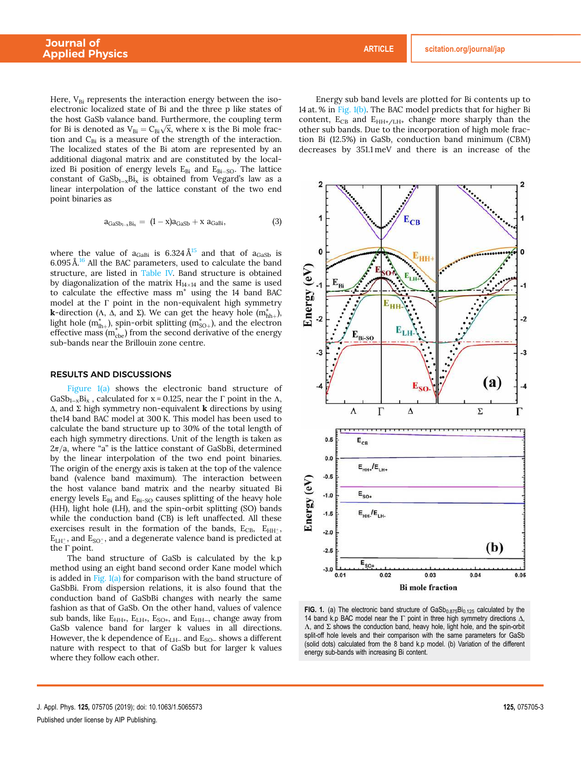Here,  $V_{\text{Bi}}$  represents the interaction energy between the isoelectronic localized state of Bi and the three p like states of the host GaSb valance band. Furthermore, the coupling term for Bi is denoted as  $V_{Bi} = C_{Bi}\sqrt{x}$ , where x is the Bi mole fraction and  $C_{Bi}$  is a measure of the strength of the interaction. The localized states of the Bi atom are represented by an additional diagonal matrix and are constituted by the localized Bi position of energy levels  $E_{Bi}$  and  $E_{Bi-SO}$ . The lattice constant of GaSb<sub>1-x</sub>Bi<sub>x</sub> is obtained from Vegard's law as a linear interpolation of the lattice constant of the two end point binaries as

$$
a_{GaSb_{1-x}Bi_x} = (1-x)a_{GaSb} + x a_{GaBi}, \qquad (3)
$$

where the value of  $a_{GaBi}$  is 6.324  $\AA^{15}$  and that of  $a_{GaSb}$  is  $6.095 \text{ Å}^{16}$  All the BAC parameters, used to calculate the band structure, are listed in Table IV. Band structure is obtained by diagonalization of the matrix  $H_{14\times14}$  and the same is used to calculate the effective mass m\* using the 14 band BAC model at the Г point in the non-equivalent high symmetry **k**-direction (Λ, Δ, and Σ). We can get the heavy hole  $(m<sub>hh+</sub><sup>*</sup>)$ , light hole  $(m_{lh+}^*)$ , spin-orbit splitting  $(m_{SO+}^*)$ , and the electron effective mass  $(m_{\text{cbe}}^*)$  from the second derivative of the energy sub-bands near the Brillouin zone centre.

#### RESULTS AND DISCUSSIONS

Figure  $1(a)$  shows the electronic band structure of GaSb<sub>1-x</sub>Bi<sub>x</sub>, calculated for x = 0.125, near the  $\Gamma$  point in the  $\Lambda$ ,  $\Delta$ , and  $\Sigma$  high symmetry non-equivalent **k** directions by using the14 band BAC model at 300 K. This model has been used to calculate the band structure up to 30% of the total length of each high symmetry directions. Unit of the length is taken as  $2\pi/a$ , where "a" is the lattice constant of GaSbBi, determined by the linear interpolation of the two end point binaries. The origin of the energy axis is taken at the top of the valence band (valence band maximum). The interaction between the host valance band matrix and the nearby situated Bi energy levels  $E_{Bi}$  and  $E_{Bi-SO}$  causes splitting of the heavy hole (HH), light hole (LH), and the spin-orbit splitting (SO) bands while the conduction band (CB) is left unaffected. All these exercises result in the formation of the bands,  $E_{CB}$ ,  $E_{HH_{\perp}^+}$ ,  $E_{L H_1^+}$ , and  $E_{SO_2^+}$ , and a degenerate valence band is predicted at the  $\bar{\Gamma}$  point.

The band structure of GaSb is calculated by the k.p method using an eight band second order Kane model which is added in Fig.  $1(a)$  for comparison with the band structure of GaSbBi. From dispersion relations, it is also found that the conduction band of GaSbBi changes with nearly the same fashion as that of GaSb. On the other hand, values of valence sub bands, like  $E_{HH+}$ ,  $E_{LH+}$ ,  $E_{SO+}$ , and  $E_{HH-}$ , change away from GaSb valence band for larger k values in all directions. However, the k dependence of E<sub>LH</sub><sub>−</sub> and E<sub>SO−</sub> shows a different nature with respect to that of GaSb but for larger k values where they follow each other.

Energy sub band levels are plotted for Bi contents up to 14 at. % in Fig. 1(b). The BAC model predicts that for higher Bi content,  $E_{CB}$  and  $E_{HH+/LH+}$  change more sharply than the other sub bands. Due to the incorporation of high mole fraction Bi (12.5%) in GaSb, conduction band minimum (CBM) decreases by 351.1 meV and there is an increase of the



FIG. 1. (a) The electronic band structure of  $GaSb_{0.875}Bi_{0.125}$  calculated by the 14 band k.p BAC model near the  $\Gamma$  point in three high symmetry directions  $\Delta$ ,  $\Lambda$ , and  $\Sigma$  shows the conduction band, heavy hole, light hole, and the spin-orbit split-off hole levels and their comparison with the same parameters for GaSb (solid dots) calculated from the 8 band k.p model. (b) Variation of the different energy sub-bands with increasing Bi content.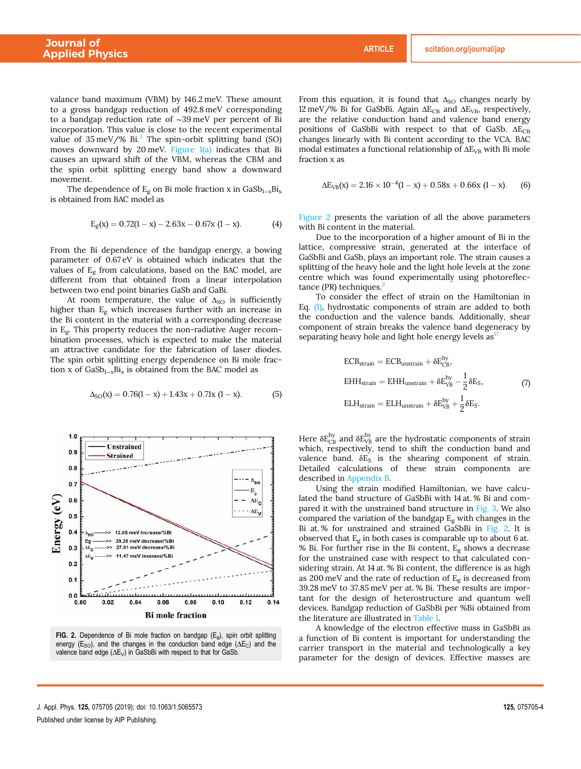valance band maximum (VBM) by 146.2 meV. These amount to a gross bandgap reduction of 492.8 meV corresponding to a bandgap reduction rate of ∼39 meV per percent of Bi incorporation. This value is close to the recent experimental value of  $35 \text{ meV}/\%$  Bi.<sup>3</sup> The spin-orbit splitting band (SO) moves downward by 20 meV. Figure  $1(a)$  indicates that Bi causes an upward shift of the VBM, whereas the CBM and the spin orbit splitting energy band show a downward movement.

The dependence of  $E_g$  on Bi mole fraction x in GaSb<sub>1-x</sub>Bi<sub>x</sub> is obtained from BAC model as

$$
E_g(x) = 0.72(1 - x) - 2.63x - 0.67x (1 - x).
$$
 (4)

From the Bi dependence of the bandgap energy, a bowing parameter of 0.67 eV is obtained which indicates that the values of  $E<sub>g</sub>$  from calculations, based on the BAC model, are different from that obtained from a linear interpolation between two end point binaries GaSb and GaBi.

At room temperature, the value of  $\Delta_{\text{SO}}$  is sufficiently higher than  $E_g$  which increases further with an increase in the Bi content in the material with a corresponding decrease in  $E_g$ . This property reduces the non-radiative Auger recombination processes, which is expected to make the material an attractive candidate for the fabrication of laser diodes. The spin orbit splitting energy dependence on Bi mole fraction x of  $GaSb_{1-x}Bi_x$  is obtained from the BAC model as

$$
\Delta_{SO}(x) = 0.76(1 - x) + 1.43x + 0.71x (1 - x). \tag{5}
$$



**FIG. 2.** Dependence of Bi mole fraction on bandgap  $(E_g)$ , spin orbit splitting energy ( $E_{SO}$ ), and the changes in the conduction band edge ( $\Delta E_C$ ) and the valence band edge  $(\Delta E_V)$  in GaSbBi with respect to that for GaSb.

From this equation, it is found that  $\Delta_{SO}$  changes nearly by 12 meV/% Bi for GaSbBi. Again  $\Delta E_{CB}$  and  $\Delta E_{VB}$ , respectively, are the relative conduction band and valence band energy positions of GaSbBi with respect to that of GaSb.  $ΔE<sub>CB</sub>$ changes linearly with Bi content according to the VCA. BAC modal estimates a functional relationship of  $\Delta E_{VB}$  with Bi mole fraction x as

$$
\Delta E_{VB}(x) = 2.16 \times 10^{-4} (1 - x) + 0.58x + 0.66x (1 - x). \tag{6}
$$

Figure 2 presents the variation of all the above parameters with Bi content in the material.

Due to the incorporation of a higher amount of Bi in the lattice, compressive strain, generated at the interface of GaSbBi and GaSb, plays an important role. The strain causes a splitting of the heavy hole and the light hole levels at the zone centre which was found experimentally using photoreflectance (PR) techniques. $<sup>2</sup>$ </sup>

To consider the effect of strain on the Hamiltonian in Eq. (1), hydrostatic components of strain are added to both the conduction and the valence bands. Additionally, shear component of strain breaks the valence band degeneracy by separating heavy hole and light hole energy levels  $as<sup>T</sup>$ 

$$
ECB_{strain} = ECB_{unstrain} + \delta E_{CB}^{hy},
$$
  
\n
$$
EHH_{strain} = EHH_{unstrain} + \delta E_{VB}^{hy} - \frac{1}{2} \delta E_{S},
$$
  
\n
$$
ELH_{strain} = ELH_{unstrain} + \delta E_{VB}^{hy} + \frac{1}{2} \delta E_{S}.
$$
  
\n(7)

Here  $\delta E_{\rm CB}^{\rm hy}$  and  $\delta E_{\rm VB}^{\rm hy}$  are the hydrostatic components of strain which, respectively, tend to shift the conduction band and valence band.  $\delta E_S$  is the shearing component of strain. Detailed calculations of these strain components are described in Appendix B.

Using the strain modified Hamiltonian, we have calculated the band structure of GaSbBi with 14 at. % Bi and compared it with the unstrained band structure in Fig. 3. We also compared the variation of the bandgap  $E_g$  with changes in the Bi at. % for unstrained and strained GaSbBi in Fig. 2. It is observed that  $E_g$  in both cases is comparable up to about 6 at. % Bi. For further rise in the Bi content,  $E_g$  shows a decrease for the unstrained case with respect to that calculated considering strain. At 14 at. % Bi content, the difference is as high as 200 meV and the rate of reduction of  $E<sub>g</sub>$  is decreased from 39.28 meV to 37.85 meV per at. % Bi. These results are important for the design of heterostructure and quantum well devices. Bandgap reduction of GaSbBi per %Bi obtained from the literature are illustrated in Table I.

A knowledge of the electron effective mass in GaSbBi as a function of Bi content is important for understanding the carrier transport in the material and technologically a key parameter for the design of devices. Effective masses are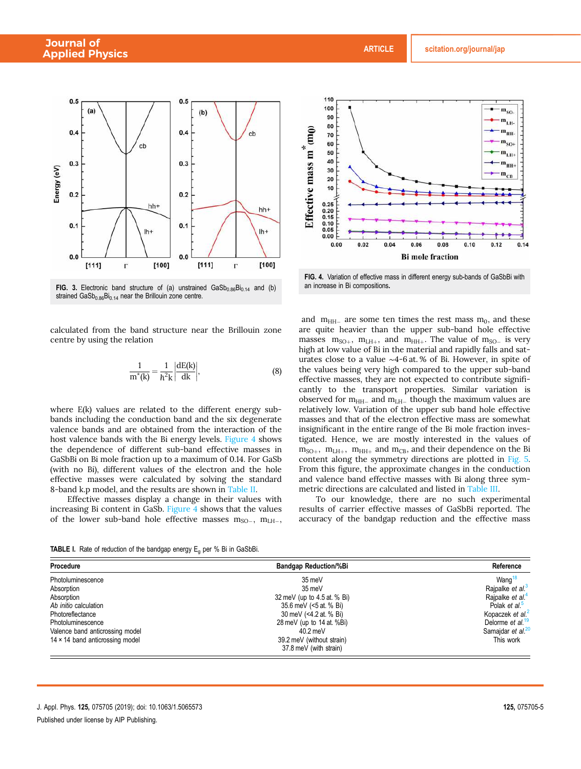

FIG. 3. Electronic band structure of (a) unstrained  $GaSb_{0.86}Bi_{0.14}$  and (b) strained  $\text{GaSb}_{0.86}\text{Bi}_{0.14}$  near the Brillouin zone centre.

calculated from the band structure near the Brillouin zone centre by using the relation

$$
\frac{1}{m^*(k)} = \frac{1}{h^2 k} \left| \frac{dE(k)}{dk} \right|,\tag{8}
$$

where E(k) values are related to the different energy subbands including the conduction band and the six degenerate valence bands and are obtained from the interaction of the host valence bands with the Bi energy levels. Figure 4 shows the dependence of different sub-band effective masses in GaSbBi on Bi mole fraction up to a maximum of 0.14. For GaSb (with no Bi), different values of the electron and the hole effective masses were calculated by solving the standard 8-band k.p model, and the results are shown in Table II.

Effective masses display a change in their values with increasing Bi content in GaSb. Figure 4 shows that the values of the lower sub-band hole effective masses  $m_{\text{SO}-}$ ,  $m_{\text{LH}-}$ ,



FIG. 4. Variation of effective mass in different energy sub-bands of GaSbBi with an increase in Bi compositions.

and  $m<sub>HH-</sub>$  are some ten times the rest mass  $m<sub>0</sub>$ , and these are quite heavier than the upper sub-band hole effective masses  $m_{SO+}$ ,  $m_{LH+}$ , and  $m_{HH+}$ . The value of  $m_{SO-}$  is very high at low value of Bi in the material and rapidly falls and saturates close to a value ∼4-6 at. % of Bi. However, in spite of the values being very high compared to the upper sub-band effective masses, they are not expected to contribute significantly to the transport properties. Similar variation is observed for  $m_{HH-}$  and  $m_{LH-}$  though the maximum values are relatively low. Variation of the upper sub band hole effective masses and that of the electron effective mass are somewhat insignificant in the entire range of the Bi mole fraction investigated. Hence, we are mostly interested in the values of  $m<sub>SO+</sub>$ ,  $m<sub>LH+</sub>$ ,  $m<sub>HH+</sub>$  and  $m<sub>CB</sub>$ , and their dependence on the Bi content along the symmetry directions are plotted in Fig. 5. From this figure, the approximate changes in the conduction and valence band effective masses with Bi along three symmetric directions are calculated and listed in Table III.

To our knowledge, there are no such experimental results of carrier effective masses of GaSbBi reported. The accuracy of the bandgap reduction and the effective mass

**TABLE I.** Rate of reduction of the bandgap energy  $E_0$  per % Bi in GaSbBi.

| Procedure                       | <b>Bandgap Reduction/%Bi</b>                        | Reference                     |  |  |
|---------------------------------|-----------------------------------------------------|-------------------------------|--|--|
| Photoluminescence               | 35 meV                                              | Wang $18$                     |  |  |
| Absorption                      | 35 meV                                              | Raipalke et al. <sup>3</sup>  |  |  |
| Absorption                      | 32 meV (up to 4.5 at. % Bi)                         | Rajpalke et al. <sup>4</sup>  |  |  |
| Ab <i>initio</i> calculation    | 35.6 meV (<5 at. % Bi)                              | Polak et al. <sup>5</sup>     |  |  |
| Photoreflectance                | 30 meV (<4.2 at % Bi)                               | Kopaczek et al. <sup>2</sup>  |  |  |
| Photoluminescence               | 28 meV (up to 14 at. %Bi)                           | Delorme et al. <sup>19</sup>  |  |  |
| Valence band anticrossing model | $40.2 \,\mathrm{meV}$                               | Samajdar et al. <sup>20</sup> |  |  |
| 14 × 14 band anticrossing model | 39.2 meV (without strain)<br>37.8 meV (with strain) | This work                     |  |  |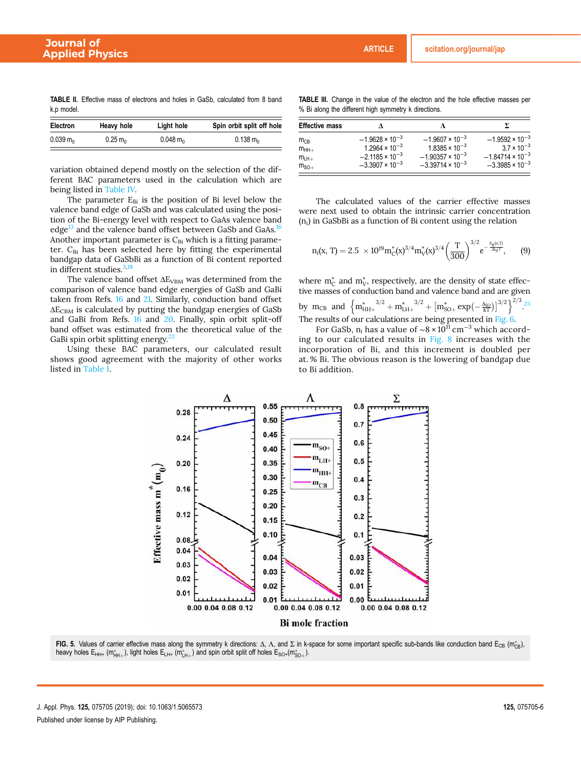TABLE II. Effective mass of electrons and holes in GaSb, calculated from 8 band k.p model.

| <b>Electron</b>                  | Heavy hole                      | Light hole                       | Spin orbit split off hole      |  |  |  |
|----------------------------------|---------------------------------|----------------------------------|--------------------------------|--|--|--|
| $0.039 \, \text{m}$ <sub>0</sub> | $0.25 \, \text{m}$ <sub>0</sub> | $0.048 \, \text{m}$ <sub>0</sub> | $0.138 \text{ m}$ <sub>0</sub> |  |  |  |

variation obtained depend mostly on the selection of the different BAC parameters used in the calculation which are being listed in Table IV.

The parameter  $E_{Bi}$  is the position of Bi level below the valence band edge of GaSb and was calculated using the position of the Bi-energy level with respect to GaAs valence band edge<sup>13</sup> and the valence band offset between GaSb and GaAs.<sup>16</sup> Another important parameter is  $C_{Bi}$  which is a fitting parameter.  $C_{Bi}$  has been selected here by fitting the experimental bandgap data of GaSbBi as a function of Bi content reported in different studies. $3,1$ 

The valence band offset  $\Delta E_{VBM}$  was determined from the comparison of valence band edge energies of GaSb and GaBi taken from Refs. 16 and 21. Similarly, conduction band offset  $\Delta E_{\rm CBM}$  is calculated by putting the bandgap energies of GaSb and GaBi from Refs. 16 and 20. Finally, spin orbit split-off band offset was estimated from the theoretical value of the GaBi spin orbit splitting energy.<sup>22</sup>

Using these BAC parameters, our calculated result shows good agreement with the majority of other works listed in Table I.

| <b>TABLE III.</b> Change in the value of the electron and the hole effective masses per |  |  |  |  |
|-----------------------------------------------------------------------------------------|--|--|--|--|
| % Bi along the different high symmetry k directions.                                    |  |  |  |  |

| <b>Effective mass</b> |                          |                           |                           |  |  |
|-----------------------|--------------------------|---------------------------|---------------------------|--|--|
| $m_{CB}$              | $-1.9628 \times 10^{-3}$ | $-1.9607 \times 10^{-3}$  | $-1.9592 \times 10^{-3}$  |  |  |
| $m_{HH+}$             | $1.2964 \times 10^{-3}$  | $1.8385 \times 10^{-3}$   | $3.7 \times 10^{-3}$      |  |  |
| $m_{LH+}$             | $-2.1185 \times 10^{-3}$ | $-1.90357 \times 10^{-3}$ | $-1.84714 \times 10^{-3}$ |  |  |
| $mSO+$                | $-3.3907 \times 10^{-3}$ | $-3.39714 \times 10^{-3}$ | $-3.3985 \times 10^{-3}$  |  |  |

The calculated values of the carrier effective masses were next used to obtain the intrinsic carrier concentration  $(n<sub>i</sub>)$  in GaSbBi as a function of Bi content using the relation

$$
n_i(x, T) = 2.5 \times 10^{19} m_C^*(x)^{3/4} m_V^*(x)^{3/4} \left(\frac{T}{300}\right)^{3/2} e^{-\frac{F_g(x, T)}{2k_\beta T}}, \qquad (9)
$$

where  $m_C^*$  and  $m_V^*$ , respectively, are the density of state effective masses of conduction band and valence band and are given by m<sub>CB</sub> and  $\left\{ m_{HH+}^{*} \right\}^{3/2} + m_{LH+}^{*} \right\}^{3/2} + \left[ m_{SO+}^{*} \exp \left( - \frac{\Delta_{SO}}{kT} \right) \right]^{3/2} \right\}^{2/3}$ . The results of our calculations are being presented in Fig. 6.

For GaSb, n<sub>i</sub> has a value of ~8 × 10<sup>f1</sup> cm<sup>-3</sup> which according to our calculated results in Fig. 8 increases with the incorporation of Bi, and this increment is doubled per at. % Bi. The obvious reason is the lowering of bandgap due to Bi addition.



**FIG. 5.** Values of carrier effective mass along the symmetry k directions: Δ, Λ, and Σ in k-space for some important specific sub-bands like conduction band E<sub>CB</sub> (m<sub>CB</sub>), heavy holes  $\mathsf{E}_{\mathsf{HH+}}$  (m $^*_{\mathsf{HH+}}$ ), light holes  $\mathsf{E}_{\mathsf{LH+}}$  (m $^*_{\mathsf{LH+}}$ ) and spin orbit split off holes  $\mathsf{E}_{\mathsf{SO+}}(\mathsf{m}^*_{\mathsf{SO+}})$ .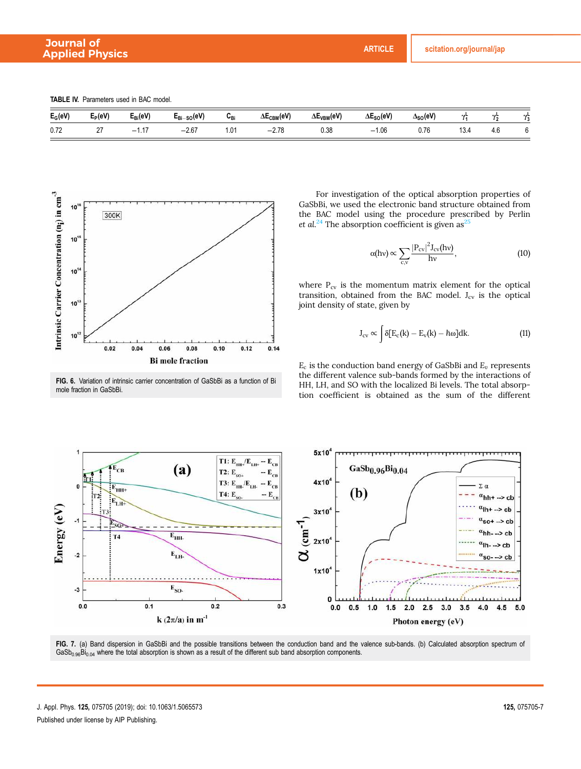TABLE IV. Parameters used in BAC model.

| $E_G(eV)$ | $E_P(eV)$   | $\mathcal{L}_{\mathsf{Bi}}(\mathsf{eV})$ | $_{-SO}(eV)$<br>⊏Bi-                | ∪Bi              | $\Delta E_{\text{CBM}}(eV)$ | $\Delta E_{VBM}$ (eV) | $\Delta E_{SO}(eV)$   | $\Delta_{SO}(eV)$   | --                      | $\sim$        | o el |
|-----------|-------------|------------------------------------------|-------------------------------------|------------------|-----------------------------|-----------------------|-----------------------|---------------------|-------------------------|---------------|------|
| 0.72      | $\sim$<br>- | $\rightarrow$<br>-<br>.                  | $-2.67$<br>$\overline{\phantom{a}}$ | $\sim$<br>ו ט. ו | 0.70<br>$-$<br>ى ، .        | 0.38<br>.             | $\Omega$<br>-<br>1.UU | $\sim -e$<br>v. 1 c | $\sim$ $\sim$<br>$\sim$ | $\sim$<br>4.0 |      |



FIG. 6. Variation of intrinsic carrier concentration of GaSbBi as a function of Bi mole fraction in GaSbBi.

For investigation of the optical absorption properties of GaSbBi, we used the electronic band structure obtained from the BAC model using the procedure prescribed by Perlin et al.<sup>24</sup> The absorption coefficient is given as<sup>25</sup>

$$
\alpha(hv) \propto \sum_{c,v} \frac{|P_{cv}|^2 J_{cv}(hv)}{hv},\tag{10}
$$

where  $P_{cy}$  is the momentum matrix element for the optical transition, obtained from the BAC model.  $J_{cv}$  is the optical joint density of state, given by

$$
J_{cv} \propto \int \delta[E_c(k) - E_v(k) - \hbar \omega] dk.
$$
 (11)

 $E_c$  is the conduction band energy of GaSbBi and  $E_v$  represents the different valence sub-bands formed by the interactions of HH, LH, and SO with the localized Bi levels. The total absorption coefficient is obtained as the sum of the different



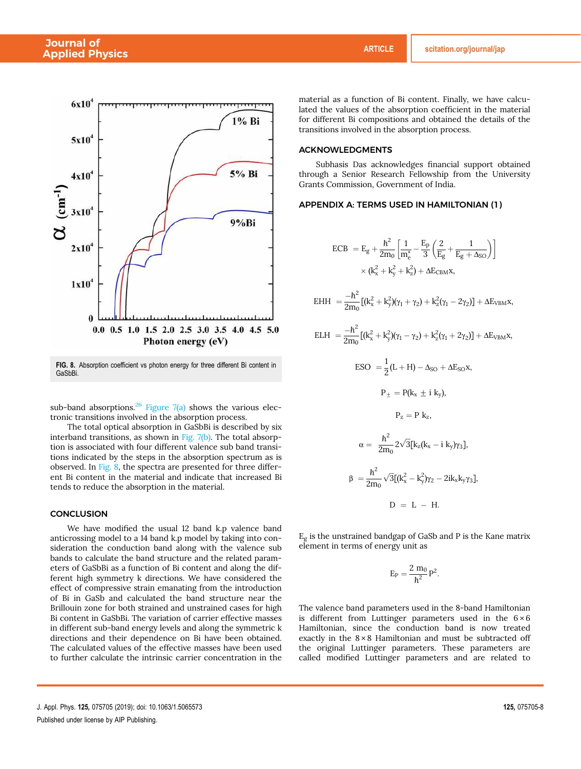

FIG. 8. Absorption coefficient vs photon energy for three different Bi content in **GaSbBi** 

sub-band absorptions.<sup>26</sup> Figure  $7(a)$  shows the various electronic transitions involved in the absorption process.

The total optical absorption in GaSbBi is described by six interband transitions, as shown in Fig.  $7(b)$ . The total absorption is associated with four different valence sub band transitions indicated by the steps in the absorption spectrum as is observed. In Fig. 8, the spectra are presented for three different Bi content in the material and indicate that increased Bi tends to reduce the absorption in the material.

#### **CONCLUSION**

We have modified the usual 12 band k.p valence band anticrossing model to a 14 band k.p model by taking into consideration the conduction band along with the valence sub bands to calculate the band structure and the related parameters of GaSbBi as a function of Bi content and along the different high symmetry k directions. We have considered the effect of compressive strain emanating from the introduction of Bi in GaSb and calculated the band structure near the Brillouin zone for both strained and unstrained cases for high Bi content in GaSbBi. The variation of carrier effective masses in different sub-band energy levels and along the symmetric k directions and their dependence on Bi have been obtained. The calculated values of the effective masses have been used to further calculate the intrinsic carrier concentration in the

lated the values of the absorption coefficient in the material for different Bi compositions and obtained the details of the transitions involved in the absorption process.

## ACKNOWLEDGMENTS

 $EH$ 

Subhasis Das acknowledges financial support obtained through a Senior Research Fellowship from the University Grants Commission, Government of India.

material as a function of Bi content. Finally, we have calcu-

## APPENDIX A: TERMS USED IN HAMILTONIAN (1)

$$
\begin{aligned} \text{ECB } &= \text{E}_{g} + \frac{\hbar^{2}}{2\text{m}_{0}} \left[ \frac{1}{m_{e}^{*}} - \frac{\text{E}_{p}}{3} \left( \frac{2}{\text{E}_{g}} + \frac{1}{\text{E}_{g} + \Delta_{\text{SO}}} \right) \right] \\ & \times (\text{k}_{x}^{2} + \text{k}_{y}^{2} + \text{k}_{z}^{2}) + \Delta \text{E}_{\text{CBM}} \text{x}, \\ \text{H } &= \frac{-\hbar^{2}}{2\text{m}_{0}} \left[ (\text{k}_{x}^{2} + \text{k}_{y}^{2})(\gamma_{1} + \gamma_{2}) + \text{k}_{z}^{2}(\gamma_{1} - 2\gamma_{2}) \right] + \Delta \text{E}_{\text{VBM}} \text{x}, \end{aligned}
$$

$$
\mathrm{ELH} \ = \frac{-\hbar^2}{2m_0} \big[ (k_x^2 + k_y^2) (\gamma_1 - \gamma_2) + k_z^2 (\gamma_1 + 2 \gamma_2) \big] + \Delta E_{VBM} x,
$$

$$
ESO = \frac{1}{2}(L+H) - \Delta_{SO} + \Delta E_{SO}x,
$$
  
\n
$$
P_{\pm} = P(k_x \pm i k_y),
$$
  
\n
$$
P_z = P k_z,
$$
  
\n
$$
\alpha = \frac{h^2}{2m_0} 2\sqrt{3}[k_z(k_x - i k_y)\gamma_3],
$$
  
\n
$$
\beta = \frac{h^2}{2m_0}\sqrt{3}[(k_x^2 - k_y^2)\gamma_2 - 2ik_xk_y\gamma_3],
$$
  
\n
$$
D = L - H.
$$

 $E_g$  is the unstrained bandgap of GaSb and P is the Kane matrix element in terms of energy unit as

$$
E_P=\frac{2\;m_0}{\hbar^2}P^2.
$$

The valence band parameters used in the 8-band Hamiltonian is different from Luttinger parameters used in the  $6 \times 6$ Hamiltonian, since the conduction band is now treated exactly in the  $8 \times 8$  Hamiltonian and must be subtracted off the original Luttinger parameters. These parameters are called modified Luttinger parameters and are related to